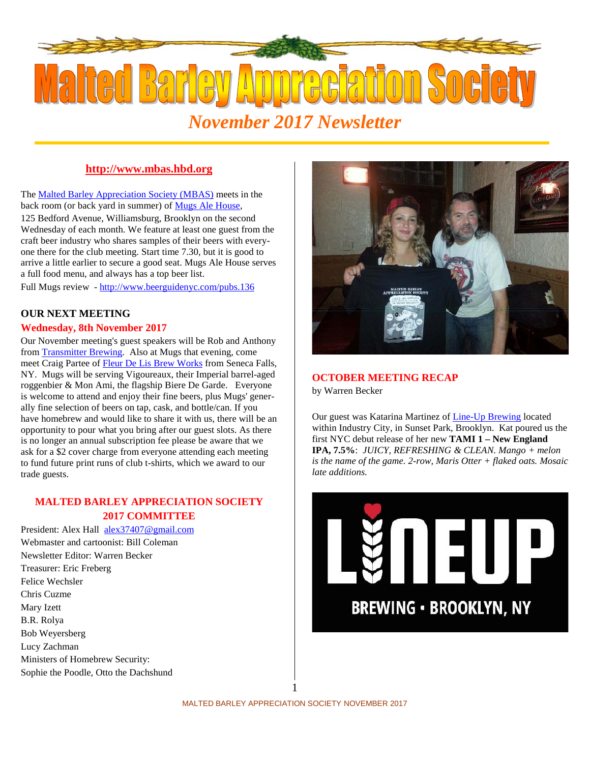

# **http://www.mbas.hbd.org**

The Malted Barley Appreciation Society (MBAS) meets in the back room (or back yard in summer) of Mugs Ale House,

125 Bedford Avenue, Williamsburg, Brooklyn on the second Wednesday of each month. We feature at least one guest from the craft beer industry who shares samples of their beers with everyone there for the club meeting. Start time 7.30, but it is good to arrive a little earlier to secure a good seat. Mugs Ale House serves a full food menu, and always has a top beer list.

Full Mugs review - http://www.beerguidenyc.com/pubs.136

## **OUR NEXT MEETING**

### **Wednesday, 8th November 2017**

Our November meeting's guest speakers will be Rob and Anthony from Transmitter Brewing. Also at Mugs that evening, come meet Craig Partee of Fleur De Lis Brew Works from Seneca Falls, NY. Mugs will be serving Vigoureaux, their Imperial barrel-aged roggenbier & Mon Ami, the flagship Biere De Garde. Everyone is welcome to attend and enjoy their fine beers, plus Mugs' generally fine selection of beers on tap, cask, and bottle/can. If you have homebrew and would like to share it with us, there will be an opportunity to pour what you bring after our guest slots. As there is no longer an annual subscription fee please be aware that we ask for a \$2 cover charge from everyone attending each meeting to fund future print runs of club t-shirts, which we award to our trade guests.

## **MALTED BARLEY APPRECIATION SOCIETY 2017 COMMITTEE**

President: Alex Hall alex37407@gmail.com Webmaster and cartoonist: Bill Coleman Newsletter Editor: Warren Becker Treasurer: Eric Freberg Felice Wechsler Chris Cuzme Mary Izett B.R. Rolya Bob Weyersberg Lucy Zachman Ministers of Homebrew Security: Sophie the Poodle, Otto the Dachshund



# **OCTOBER MEETING RECAP**

by Warren Becker

Our guest was Katarina Martinez of Line-Up Brewing located within Industry City, in Sunset Park, Brooklyn. Kat poured us the first NYC debut release of her new **TAMI 1 – New England IPA, 7.5%**: *JUICY, REFRESHING & CLEAN. Mango + melon is the name of the game. 2-row, Maris Otter + flaked oats. Mosaic late additions.*



1